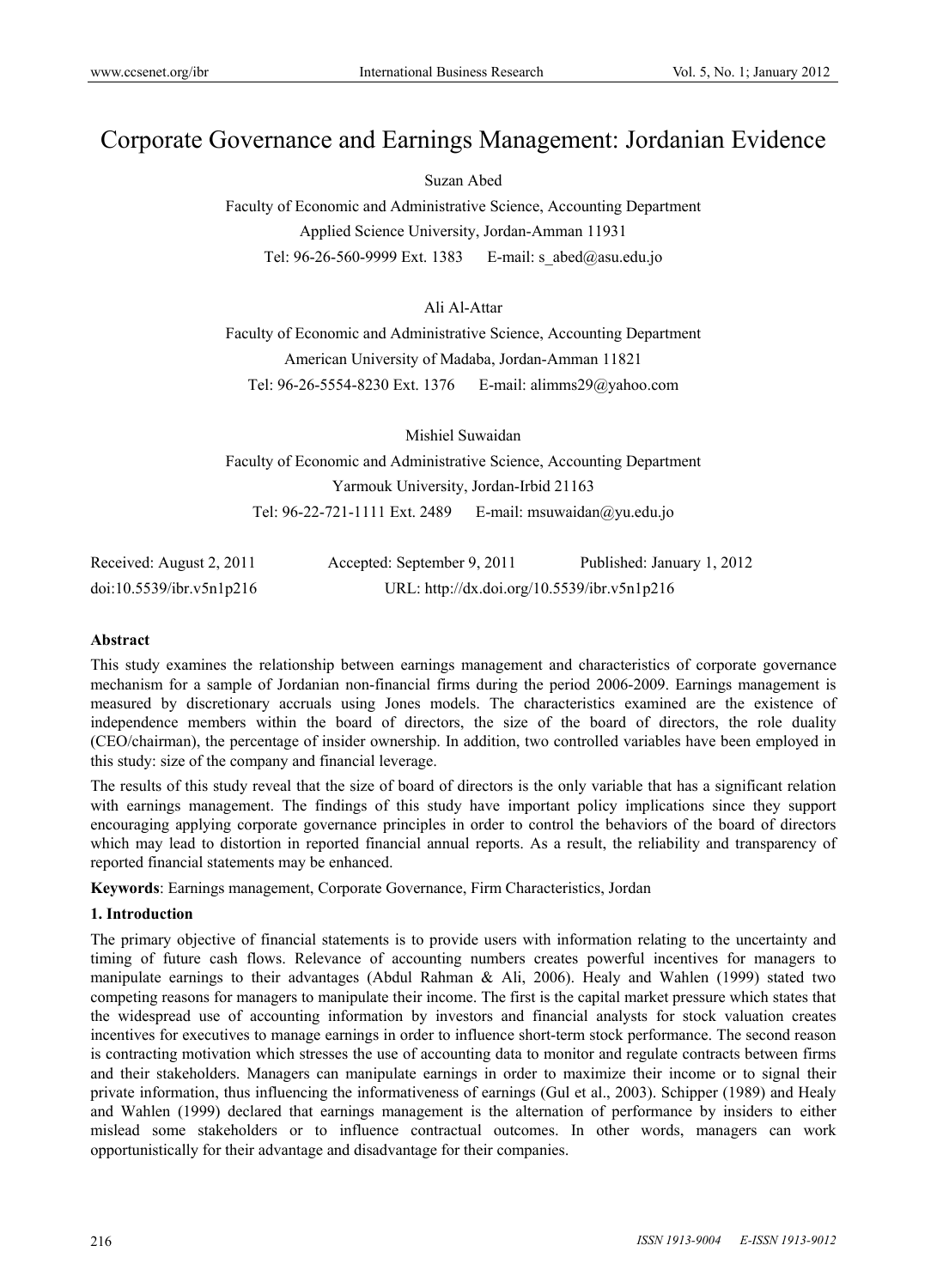# Corporate Governance and Earnings Management: Jordanian Evidence

Suzan Abed

Faculty of Economic and Administrative Science, Accounting Department Applied Science University, Jordan-Amman 11931 Tel: 96-26-560-9999 Ext. 1383 E-mail: s\_abed@asu.edu.jo

# Ali Al-Attar

Faculty of Economic and Administrative Science, Accounting Department American University of Madaba, Jordan-Amman 11821 Tel: 96-26-5554-8230 Ext. 1376 E-mail: alimms29@yahoo.com

Mishiel Suwaidan Faculty of Economic and Administrative Science, Accounting Department Yarmouk University, Jordan-Irbid 21163 Tel: 96-22-721-1111 Ext. 2489 E-mail: msuwaidan@yu.edu.jo

| Received: August 2, 2011 | Accepted: September 9, 2011                 | Published: January 1, 2012 |
|--------------------------|---------------------------------------------|----------------------------|
| doi:10.5539/ibr.v5n1p216 | URL: http://dx.doi.org/10.5539/ibr.v5n1p216 |                            |

#### **Abstract**

This study examines the relationship between earnings management and characteristics of corporate governance mechanism for a sample of Jordanian non-financial firms during the period 2006-2009. Earnings management is measured by discretionary accruals using Jones models. The characteristics examined are the existence of independence members within the board of directors, the size of the board of directors, the role duality (CEO/chairman), the percentage of insider ownership. In addition, two controlled variables have been employed in this study: size of the company and financial leverage.

The results of this study reveal that the size of board of directors is the only variable that has a significant relation with earnings management. The findings of this study have important policy implications since they support encouraging applying corporate governance principles in order to control the behaviors of the board of directors which may lead to distortion in reported financial annual reports. As a result, the reliability and transparency of reported financial statements may be enhanced.

**Keywords**: Earnings management, Corporate Governance, Firm Characteristics, Jordan

#### **1. Introduction**

The primary objective of financial statements is to provide users with information relating to the uncertainty and timing of future cash flows. Relevance of accounting numbers creates powerful incentives for managers to manipulate earnings to their advantages (Abdul Rahman & Ali, 2006). Healy and Wahlen (1999) stated two competing reasons for managers to manipulate their income. The first is the capital market pressure which states that the widespread use of accounting information by investors and financial analysts for stock valuation creates incentives for executives to manage earnings in order to influence short-term stock performance. The second reason is contracting motivation which stresses the use of accounting data to monitor and regulate contracts between firms and their stakeholders. Managers can manipulate earnings in order to maximize their income or to signal their private information, thus influencing the informativeness of earnings (Gul et al., 2003). Schipper (1989) and Healy and Wahlen (1999) declared that earnings management is the alternation of performance by insiders to either mislead some stakeholders or to influence contractual outcomes. In other words, managers can work opportunistically for their advantage and disadvantage for their companies.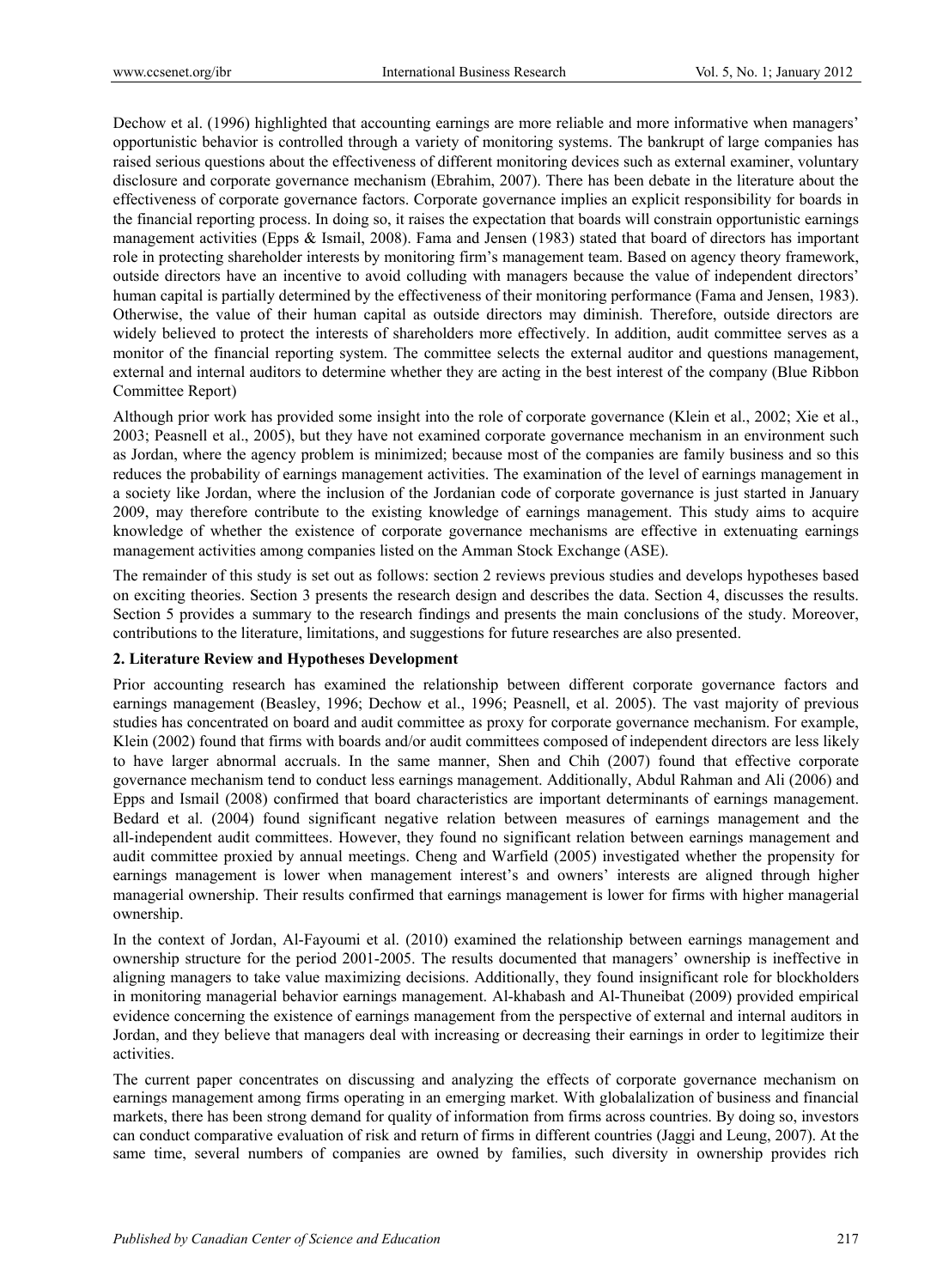Dechow et al. (1996) highlighted that accounting earnings are more reliable and more informative when managers' opportunistic behavior is controlled through a variety of monitoring systems. The bankrupt of large companies has raised serious questions about the effectiveness of different monitoring devices such as external examiner, voluntary disclosure and corporate governance mechanism (Ebrahim, 2007). There has been debate in the literature about the effectiveness of corporate governance factors. Corporate governance implies an explicit responsibility for boards in the financial reporting process. In doing so, it raises the expectation that boards will constrain opportunistic earnings management activities (Epps & Ismail, 2008). Fama and Jensen (1983) stated that board of directors has important role in protecting shareholder interests by monitoring firm's management team. Based on agency theory framework, outside directors have an incentive to avoid colluding with managers because the value of independent directors' human capital is partially determined by the effectiveness of their monitoring performance (Fama and Jensen, 1983). Otherwise, the value of their human capital as outside directors may diminish. Therefore, outside directors are widely believed to protect the interests of shareholders more effectively. In addition, audit committee serves as a monitor of the financial reporting system. The committee selects the external auditor and questions management, external and internal auditors to determine whether they are acting in the best interest of the company (Blue Ribbon Committee Report)

Although prior work has provided some insight into the role of corporate governance (Klein et al., 2002; Xie et al., 2003; Peasnell et al., 2005), but they have not examined corporate governance mechanism in an environment such as Jordan, where the agency problem is minimized; because most of the companies are family business and so this reduces the probability of earnings management activities. The examination of the level of earnings management in a society like Jordan, where the inclusion of the Jordanian code of corporate governance is just started in January 2009, may therefore contribute to the existing knowledge of earnings management. This study aims to acquire knowledge of whether the existence of corporate governance mechanisms are effective in extenuating earnings management activities among companies listed on the Amman Stock Exchange (ASE).

The remainder of this study is set out as follows: section 2 reviews previous studies and develops hypotheses based on exciting theories. Section 3 presents the research design and describes the data. Section 4, discusses the results. Section 5 provides a summary to the research findings and presents the main conclusions of the study. Moreover, contributions to the literature, limitations, and suggestions for future researches are also presented.

#### **2. Literature Review and Hypotheses Development**

Prior accounting research has examined the relationship between different corporate governance factors and earnings management (Beasley, 1996; Dechow et al., 1996; Peasnell, et al. 2005). The vast majority of previous studies has concentrated on board and audit committee as proxy for corporate governance mechanism. For example, Klein (2002) found that firms with boards and/or audit committees composed of independent directors are less likely to have larger abnormal accruals. In the same manner, Shen and Chih (2007) found that effective corporate governance mechanism tend to conduct less earnings management. Additionally, Abdul Rahman and Ali (2006) and Epps and Ismail (2008) confirmed that board characteristics are important determinants of earnings management. Bedard et al. (2004) found significant negative relation between measures of earnings management and the all-independent audit committees. However, they found no significant relation between earnings management and audit committee proxied by annual meetings. Cheng and Warfield (2005) investigated whether the propensity for earnings management is lower when management interest's and owners' interests are aligned through higher managerial ownership. Their results confirmed that earnings management is lower for firms with higher managerial ownership.

In the context of Jordan, Al-Fayoumi et al. (2010) examined the relationship between earnings management and ownership structure for the period 2001-2005. The results documented that managers' ownership is ineffective in aligning managers to take value maximizing decisions. Additionally, they found insignificant role for blockholders in monitoring managerial behavior earnings management. Al-khabash and Al-Thuneibat (2009) provided empirical evidence concerning the existence of earnings management from the perspective of external and internal auditors in Jordan, and they believe that managers deal with increasing or decreasing their earnings in order to legitimize their activities.

The current paper concentrates on discussing and analyzing the effects of corporate governance mechanism on earnings management among firms operating in an emerging market. With globalalization of business and financial markets, there has been strong demand for quality of information from firms across countries. By doing so, investors can conduct comparative evaluation of risk and return of firms in different countries (Jaggi and Leung, 2007). At the same time, several numbers of companies are owned by families, such diversity in ownership provides rich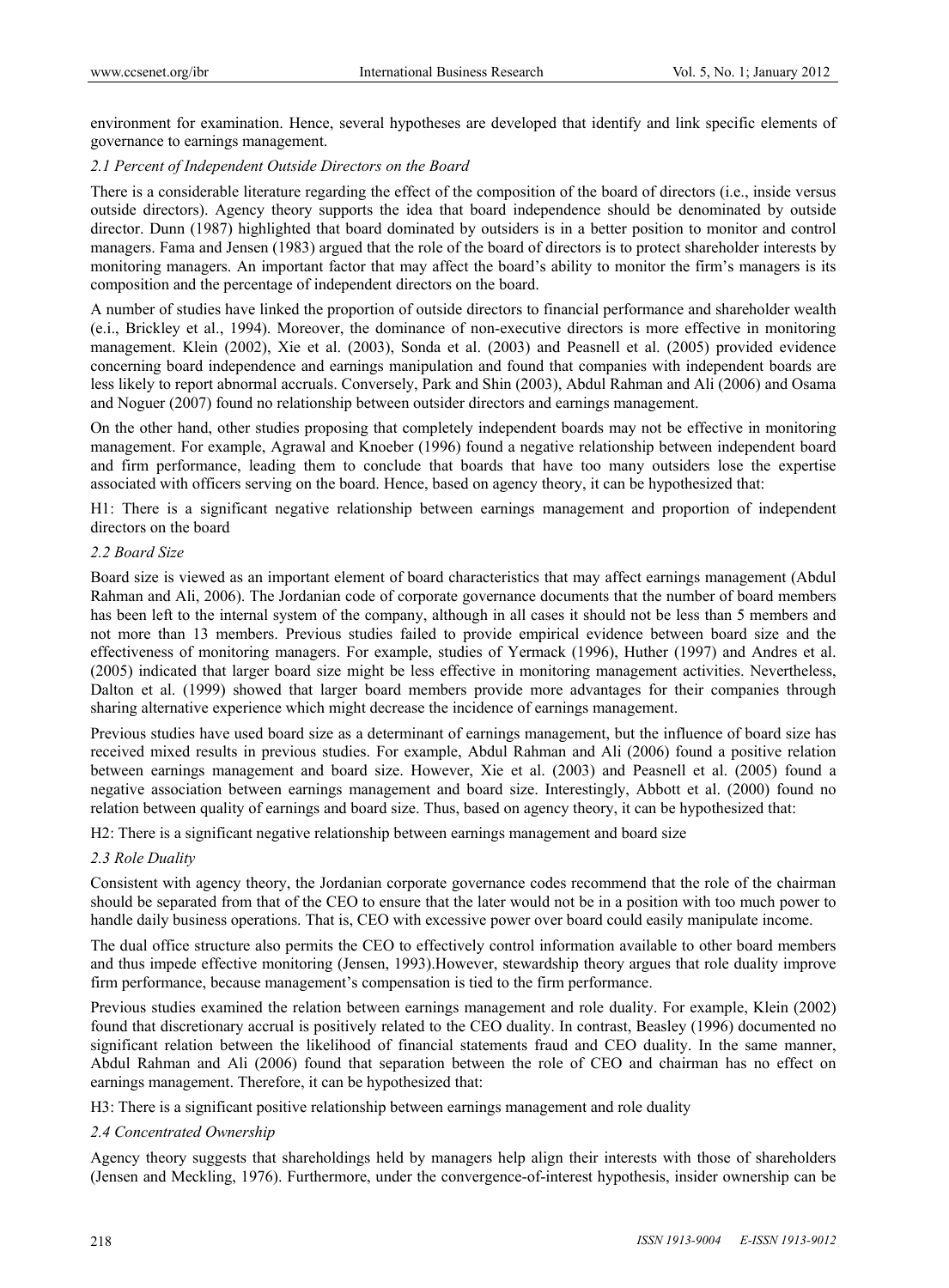environment for examination. Hence, several hypotheses are developed that identify and link specific elements of governance to earnings management.

# *2.1 Percent of Independent Outside Directors on the Board*

There is a considerable literature regarding the effect of the composition of the board of directors (i.e., inside versus outside directors). Agency theory supports the idea that board independence should be denominated by outside director. Dunn (1987) highlighted that board dominated by outsiders is in a better position to monitor and control managers. Fama and Jensen (1983) argued that the role of the board of directors is to protect shareholder interests by monitoring managers. An important factor that may affect the board's ability to monitor the firm's managers is its composition and the percentage of independent directors on the board.

A number of studies have linked the proportion of outside directors to financial performance and shareholder wealth (e.i., Brickley et al., 1994). Moreover, the dominance of non-executive directors is more effective in monitoring management. Klein (2002), Xie et al. (2003), Sonda et al. (2003) and Peasnell et al. (2005) provided evidence concerning board independence and earnings manipulation and found that companies with independent boards are less likely to report abnormal accruals. Conversely, Park and Shin (2003), Abdul Rahman and Ali (2006) and Osama and Noguer (2007) found no relationship between outsider directors and earnings management.

On the other hand, other studies proposing that completely independent boards may not be effective in monitoring management. For example, Agrawal and Knoeber (1996) found a negative relationship between independent board and firm performance, leading them to conclude that boards that have too many outsiders lose the expertise associated with officers serving on the board. Hence, based on agency theory, it can be hypothesized that:

H1: There is a significant negative relationship between earnings management and proportion of independent directors on the board

#### *2.2 Board Size*

Board size is viewed as an important element of board characteristics that may affect earnings management (Abdul Rahman and Ali, 2006). The Jordanian code of corporate governance documents that the number of board members has been left to the internal system of the company, although in all cases it should not be less than 5 members and not more than 13 members. Previous studies failed to provide empirical evidence between board size and the effectiveness of monitoring managers. For example, studies of Yermack (1996), Huther (1997) and Andres et al. (2005) indicated that larger board size might be less effective in monitoring management activities. Nevertheless, Dalton et al. (1999) showed that larger board members provide more advantages for their companies through sharing alternative experience which might decrease the incidence of earnings management.

Previous studies have used board size as a determinant of earnings management, but the influence of board size has received mixed results in previous studies. For example, Abdul Rahman and Ali (2006) found a positive relation between earnings management and board size. However, Xie et al. (2003) and Peasnell et al. (2005) found a negative association between earnings management and board size. Interestingly, Abbott et al. (2000) found no relation between quality of earnings and board size. Thus, based on agency theory, it can be hypothesized that:

H2: There is a significant negative relationship between earnings management and board size

#### *2.3 Role Duality*

Consistent with agency theory, the Jordanian corporate governance codes recommend that the role of the chairman should be separated from that of the CEO to ensure that the later would not be in a position with too much power to handle daily business operations. That is, CEO with excessive power over board could easily manipulate income.

The dual office structure also permits the CEO to effectively control information available to other board members and thus impede effective monitoring (Jensen, 1993).However, stewardship theory argues that role duality improve firm performance, because management's compensation is tied to the firm performance.

Previous studies examined the relation between earnings management and role duality. For example, Klein (2002) found that discretionary accrual is positively related to the CEO duality. In contrast, Beasley (1996) documented no significant relation between the likelihood of financial statements fraud and CEO duality. In the same manner, Abdul Rahman and Ali (2006) found that separation between the role of CEO and chairman has no effect on earnings management. Therefore, it can be hypothesized that:

H3: There is a significant positive relationship between earnings management and role duality

#### *2.4 Concentrated Ownership*

Agency theory suggests that shareholdings held by managers help align their interests with those of shareholders (Jensen and Meckling, 1976). Furthermore, under the convergence-of-interest hypothesis, insider ownership can be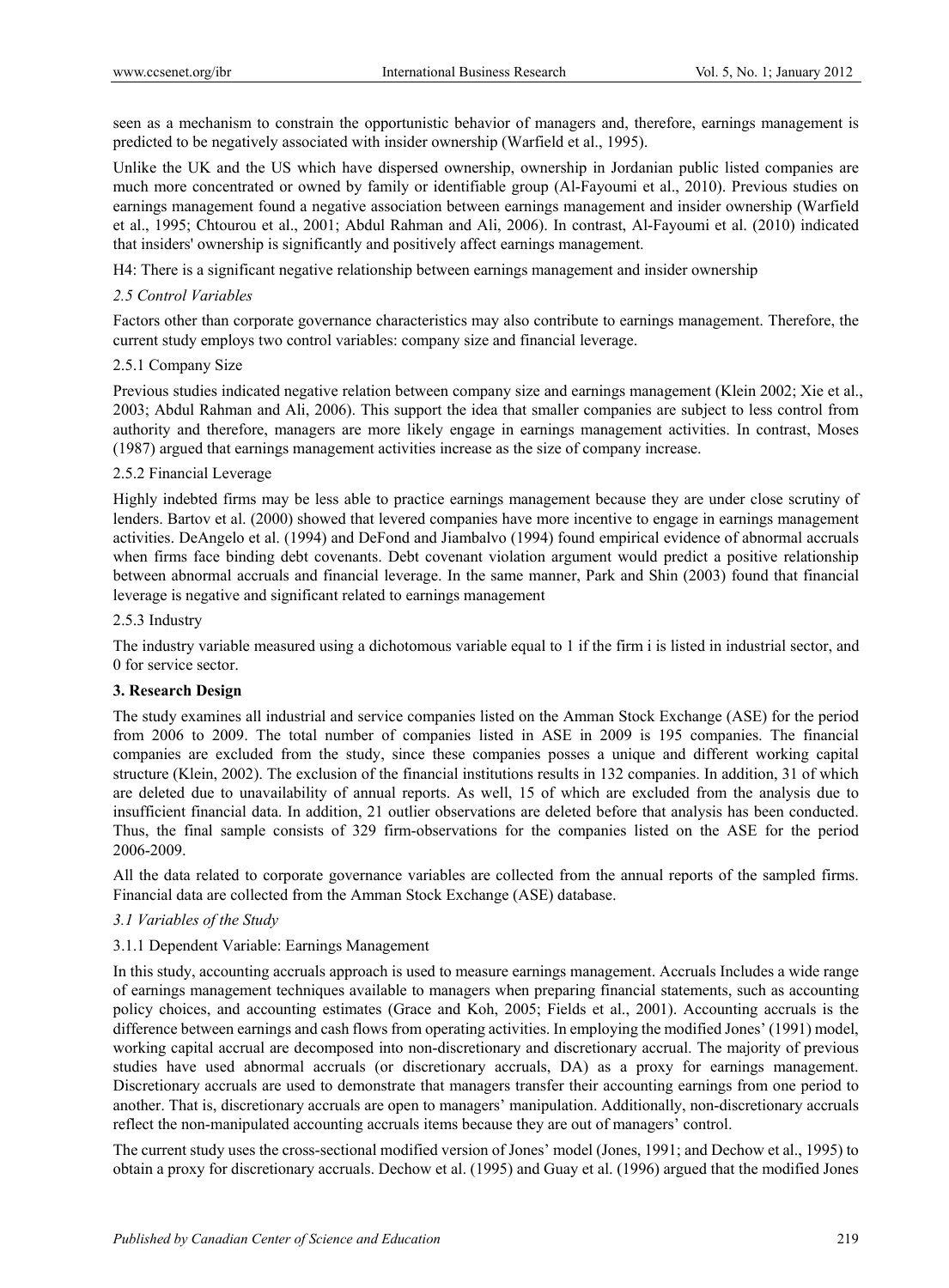seen as a mechanism to constrain the opportunistic behavior of managers and, therefore, earnings management is predicted to be negatively associated with insider ownership (Warfield et al., 1995).

Unlike the UK and the US which have dispersed ownership, ownership in Jordanian public listed companies are much more concentrated or owned by family or identifiable group (Al-Fayoumi et al., 2010). Previous studies on earnings management found a negative association between earnings management and insider ownership (Warfield et al., 1995; Chtourou et al., 2001; Abdul Rahman and Ali, 2006). In contrast, Al-Fayoumi et al. (2010) indicated that insiders' ownership is significantly and positively affect earnings management.

H4: There is a significant negative relationship between earnings management and insider ownership

# *2.5 Control Variables*

Factors other than corporate governance characteristics may also contribute to earnings management. Therefore, the current study employs two control variables: company size and financial leverage.

# 2.5.1 Company Size

Previous studies indicated negative relation between company size and earnings management (Klein 2002; Xie et al., 2003; Abdul Rahman and Ali, 2006). This support the idea that smaller companies are subject to less control from authority and therefore, managers are more likely engage in earnings management activities. In contrast, Moses (1987) argued that earnings management activities increase as the size of company increase.

# 2.5.2 Financial Leverage

Highly indebted firms may be less able to practice earnings management because they are under close scrutiny of lenders. Bartov et al. (2000) showed that levered companies have more incentive to engage in earnings management activities. DeAngelo et al. (1994) and DeFond and Jiambalvo (1994) found empirical evidence of abnormal accruals when firms face binding debt covenants. Debt covenant violation argument would predict a positive relationship between abnormal accruals and financial leverage. In the same manner, Park and Shin (2003) found that financial leverage is negative and significant related to earnings management

#### 2.5.3 Industry

The industry variable measured using a dichotomous variable equal to 1 if the firm i is listed in industrial sector, and 0 for service sector.

#### **3. Research Design**

The study examines all industrial and service companies listed on the Amman Stock Exchange (ASE) for the period from 2006 to 2009. The total number of companies listed in ASE in 2009 is 195 companies. The financial companies are excluded from the study, since these companies posses a unique and different working capital structure (Klein, 2002). The exclusion of the financial institutions results in 132 companies. In addition, 31 of which are deleted due to unavailability of annual reports. As well, 15 of which are excluded from the analysis due to insufficient financial data. In addition, 21 outlier observations are deleted before that analysis has been conducted. Thus, the final sample consists of 329 firm-observations for the companies listed on the ASE for the period 2006-2009.

All the data related to corporate governance variables are collected from the annual reports of the sampled firms. Financial data are collected from the Amman Stock Exchange (ASE) database.

#### *3.1 Variables of the Study*

#### 3.1.1 Dependent Variable: Earnings Management

In this study, accounting accruals approach is used to measure earnings management. Accruals Includes a wide range of earnings management techniques available to managers when preparing financial statements, such as accounting policy choices, and accounting estimates (Grace and Koh, 2005; Fields et al., 2001). Accounting accruals is the difference between earnings and cash flows from operating activities. In employing the modified Jones' (1991) model, working capital accrual are decomposed into non-discretionary and discretionary accrual. The majority of previous studies have used abnormal accruals (or discretionary accruals, DA) as a proxy for earnings management. Discretionary accruals are used to demonstrate that managers transfer their accounting earnings from one period to another. That is, discretionary accruals are open to managers' manipulation. Additionally, non-discretionary accruals reflect the non-manipulated accounting accruals items because they are out of managers' control.

The current study uses the cross-sectional modified version of Jones' model (Jones, 1991; and Dechow et al., 1995) to obtain a proxy for discretionary accruals. Dechow et al. (1995) and Guay et al. (1996) argued that the modified Jones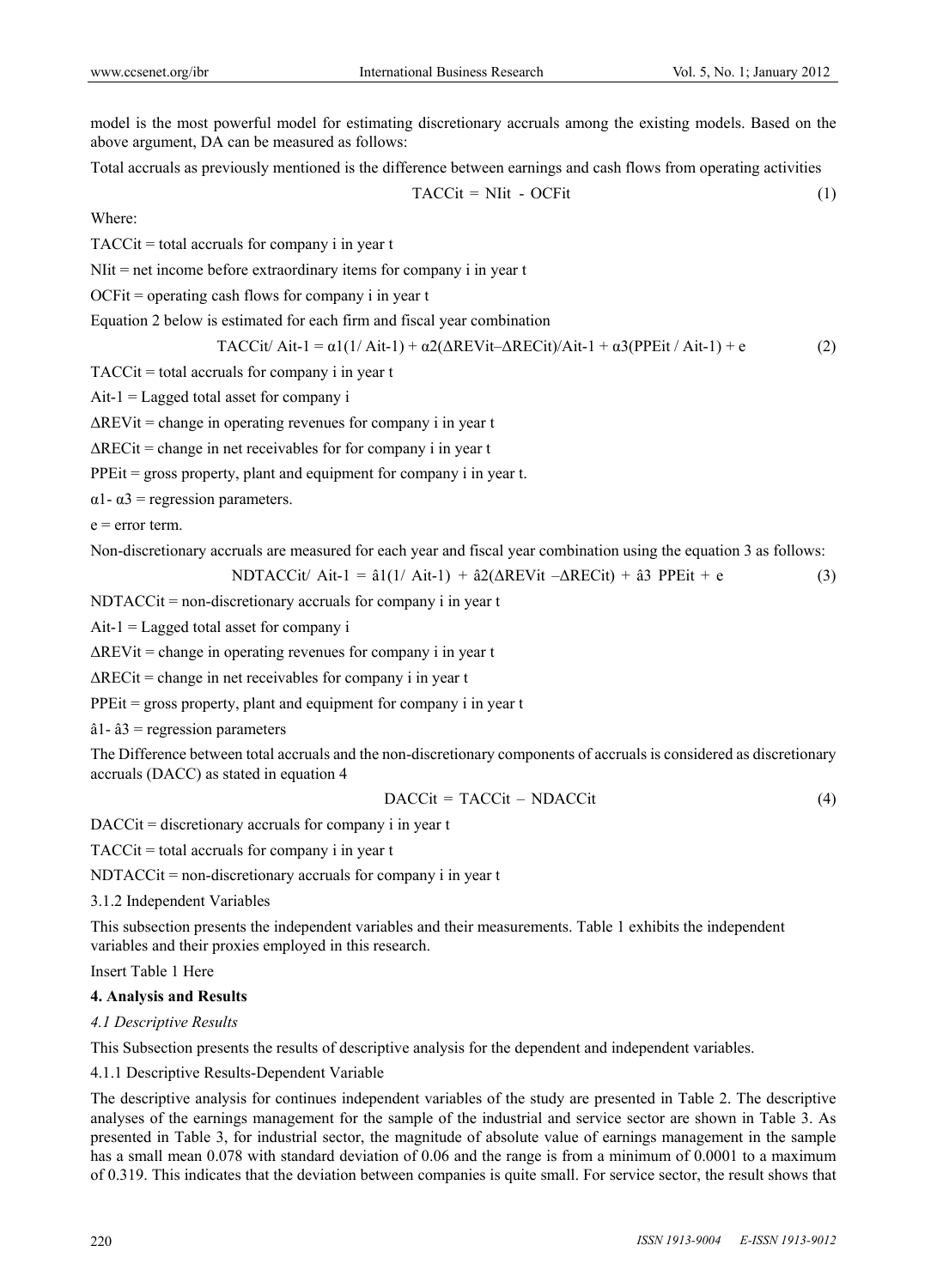model is the most powerful model for estimating discretionary accruals among the existing models. Based on the above argument, DA can be measured as follows:

Total accruals as previously mentioned is the difference between earnings and cash flows from operating activities

$$
TACCit = Nlit - OCFit \tag{1}
$$

Where:

TACCit = total accruals for company i in year t

 $N$ Iit = net income before extraordinary items for company i in year t

 $OCF$ it = operating cash flows for company i in year t

Equation 2 below is estimated for each firm and fiscal year combination

$$
TACCit/Ait-1 = \alpha 1(1/Ait-1) + \alpha 2(\Delta REVit-\Delta RECit)/Ait-1 + \alpha 3(PPEit/Ait-1) + e
$$
 (2)

 $TACC$  total accruals for company i in year t

 $Ait-1 = Lagged total asset for company i$ 

 $\Delta$ REVit = change in operating revenues for company i in year t

 $\Delta$ RECit = change in net receivables for for company i in year t

PPE<sub>it</sub> = gross property, plant and equipment for company i in year t.

 $\alpha$ 1-  $\alpha$ 3 = regression parameters.

 $e = error term$ 

Non-discretionary accruals are measured for each year and fiscal year combination using the equation 3 as follows:

$$
NDTACCit/ Ait-1 = \hat{a}1(1/Ait-1) + \hat{a}2(\Delta REVit - \Delta RECit) + \hat{a}3 PPEit + e
$$
 (3)

NDTACCit = non-discretionary accruals for company i in year t

 $Ait-1 = Lagged total asset for company i$ 

 $\Delta$ REVit = change in operating revenues for company i in year t

 $\Delta$ RECit = change in net receivables for company i in year t

PPEit = gross property, plant and equipment for company i in year t

 $â1 - â3$  = regression parameters

The Difference between total accruals and the non-discretionary components of accruals is considered as discretionary accruals (DACC) as stated in equation 4

$$
DACCit = TACCit - NDACCit \tag{4}
$$

DACCit = discretionary accruals for company i in year t

 $TACCit = total$  accruals for company i in year t

NDTACCit = non-discretionary accruals for company i in year t

3.1.2 Independent Variables

This subsection presents the independent variables and their measurements. Table 1 exhibits the independent variables and their proxies employed in this research.

Insert Table 1 Here

#### **4. Analysis and Results**

#### *4.1 Descriptive Results*

This Subsection presents the results of descriptive analysis for the dependent and independent variables.

4.1.1 Descriptive Results-Dependent Variable

The descriptive analysis for continues independent variables of the study are presented in Table 2. The descriptive analyses of the earnings management for the sample of the industrial and service sector are shown in Table 3. As presented in Table 3, for industrial sector, the magnitude of absolute value of earnings management in the sample has a small mean 0.078 with standard deviation of 0.06 and the range is from a minimum of 0.0001 to a maximum of 0.319. This indicates that the deviation between companies is quite small. For service sector, the result shows that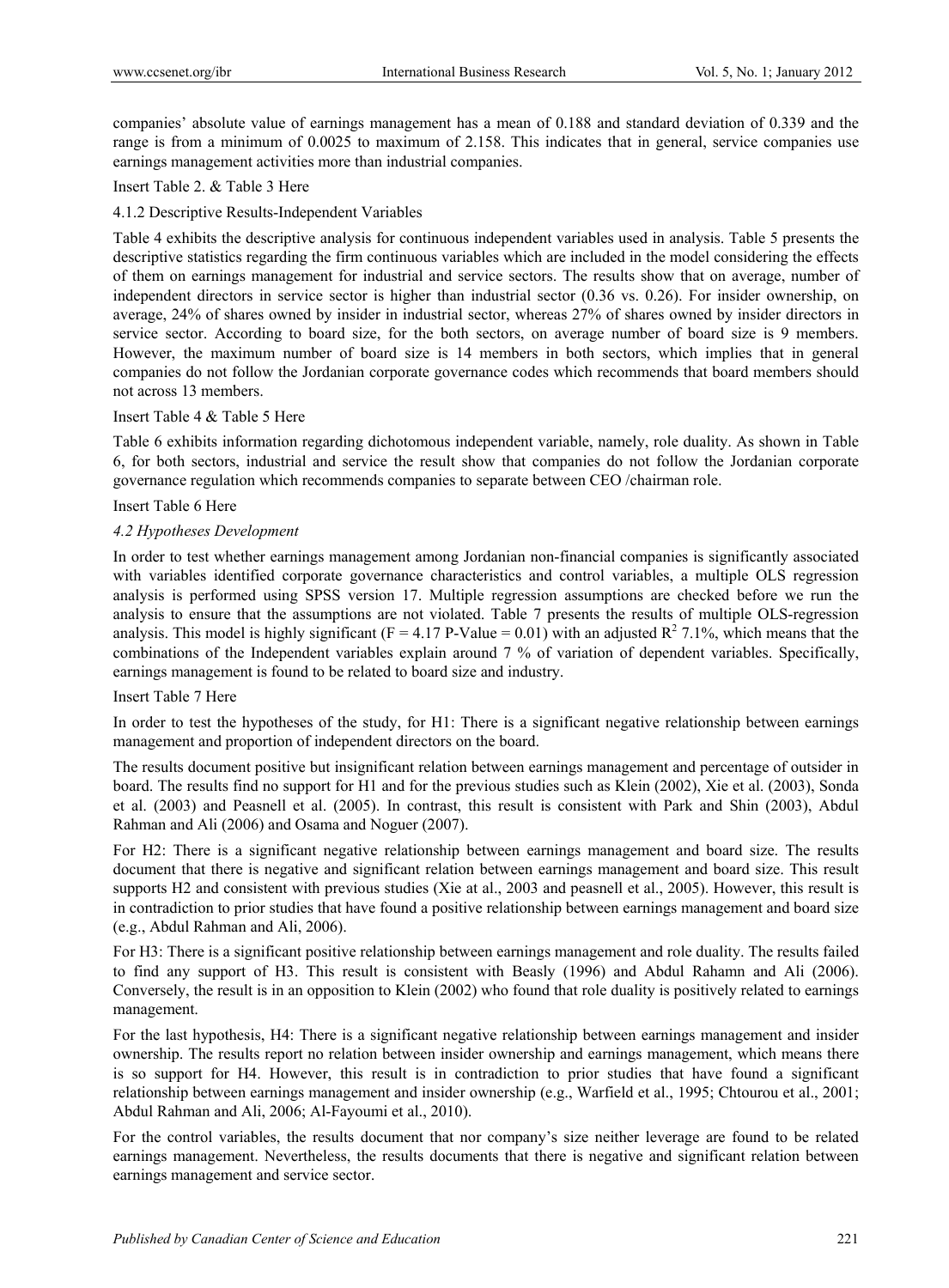companies' absolute value of earnings management has a mean of 0.188 and standard deviation of 0.339 and the range is from a minimum of 0.0025 to maximum of 2.158. This indicates that in general, service companies use earnings management activities more than industrial companies.

# Insert Table 2. & Table 3 Here

## 4.1.2 Descriptive Results-Independent Variables

Table 4 exhibits the descriptive analysis for continuous independent variables used in analysis. Table 5 presents the descriptive statistics regarding the firm continuous variables which are included in the model considering the effects of them on earnings management for industrial and service sectors. The results show that on average, number of independent directors in service sector is higher than industrial sector (0.36 vs. 0.26). For insider ownership, on average, 24% of shares owned by insider in industrial sector, whereas 27% of shares owned by insider directors in service sector. According to board size, for the both sectors, on average number of board size is 9 members. However, the maximum number of board size is 14 members in both sectors, which implies that in general companies do not follow the Jordanian corporate governance codes which recommends that board members should not across 13 members.

#### Insert Table 4 & Table 5 Here

Table 6 exhibits information regarding dichotomous independent variable, namely, role duality. As shown in Table 6, for both sectors, industrial and service the result show that companies do not follow the Jordanian corporate governance regulation which recommends companies to separate between CEO /chairman role.

#### Insert Table 6 Here

#### *4.2 Hypotheses Development*

In order to test whether earnings management among Jordanian non-financial companies is significantly associated with variables identified corporate governance characteristics and control variables, a multiple OLS regression analysis is performed using SPSS version 17. Multiple regression assumptions are checked before we run the analysis to ensure that the assumptions are not violated. Table 7 presents the results of multiple OLS-regression analysis. This model is highly significant ( $F = 4.17 P$ -Value = 0.01) with an adjusted  $R^2$  7.1%, which means that the combinations of the Independent variables explain around 7 % of variation of dependent variables. Specifically, earnings management is found to be related to board size and industry.

#### Insert Table 7 Here

In order to test the hypotheses of the study, for H1: There is a significant negative relationship between earnings management and proportion of independent directors on the board.

The results document positive but insignificant relation between earnings management and percentage of outsider in board. The results find no support for H1 and for the previous studies such as Klein (2002), Xie et al. (2003), Sonda et al. (2003) and Peasnell et al. (2005). In contrast, this result is consistent with Park and Shin (2003), Abdul Rahman and Ali (2006) and Osama and Noguer (2007).

For H2: There is a significant negative relationship between earnings management and board size. The results document that there is negative and significant relation between earnings management and board size. This result supports H2 and consistent with previous studies (Xie at al., 2003 and peasnell et al., 2005). However, this result is in contradiction to prior studies that have found a positive relationship between earnings management and board size (e.g., Abdul Rahman and Ali, 2006).

For H3: There is a significant positive relationship between earnings management and role duality. The results failed to find any support of H3. This result is consistent with Beasly (1996) and Abdul Rahamn and Ali (2006). Conversely, the result is in an opposition to Klein (2002) who found that role duality is positively related to earnings management.

For the last hypothesis, H4: There is a significant negative relationship between earnings management and insider ownership. The results report no relation between insider ownership and earnings management, which means there is so support for H4. However, this result is in contradiction to prior studies that have found a significant relationship between earnings management and insider ownership (e.g., Warfield et al., 1995; Chtourou et al., 2001; Abdul Rahman and Ali, 2006; Al-Fayoumi et al., 2010).

For the control variables, the results document that nor company's size neither leverage are found to be related earnings management. Nevertheless, the results documents that there is negative and significant relation between earnings management and service sector.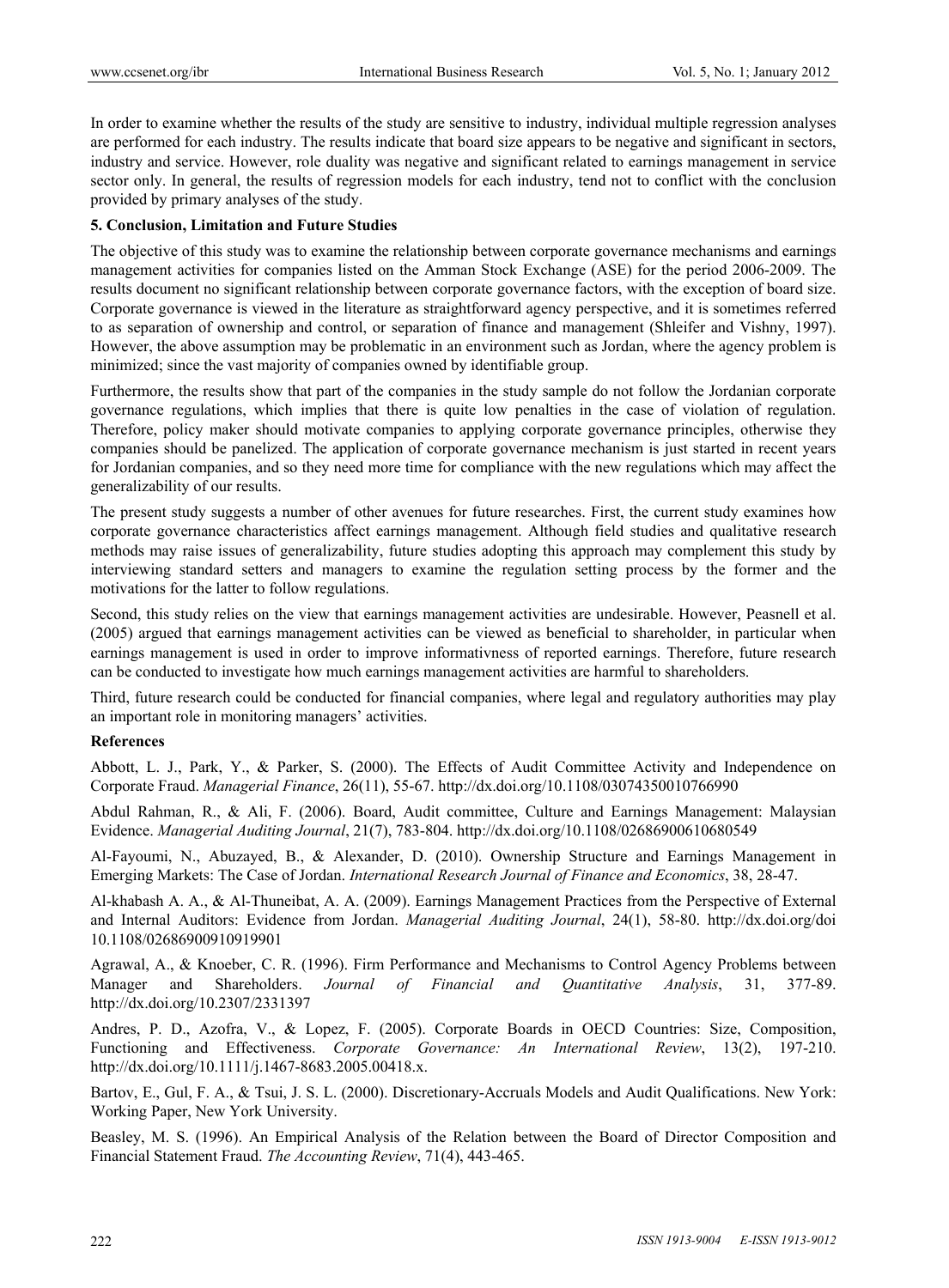In order to examine whether the results of the study are sensitive to industry, individual multiple regression analyses are performed for each industry. The results indicate that board size appears to be negative and significant in sectors, industry and service. However, role duality was negative and significant related to earnings management in service sector only. In general, the results of regression models for each industry, tend not to conflict with the conclusion provided by primary analyses of the study.

#### **5. Conclusion, Limitation and Future Studies**

The objective of this study was to examine the relationship between corporate governance mechanisms and earnings management activities for companies listed on the Amman Stock Exchange (ASE) for the period 2006-2009. The results document no significant relationship between corporate governance factors, with the exception of board size. Corporate governance is viewed in the literature as straightforward agency perspective, and it is sometimes referred to as separation of ownership and control, or separation of finance and management (Shleifer and Vishny, 1997). However, the above assumption may be problematic in an environment such as Jordan, where the agency problem is minimized; since the vast majority of companies owned by identifiable group.

Furthermore, the results show that part of the companies in the study sample do not follow the Jordanian corporate governance regulations, which implies that there is quite low penalties in the case of violation of regulation. Therefore, policy maker should motivate companies to applying corporate governance principles, otherwise they companies should be panelized. The application of corporate governance mechanism is just started in recent years for Jordanian companies, and so they need more time for compliance with the new regulations which may affect the generalizability of our results.

The present study suggests a number of other avenues for future researches. First, the current study examines how corporate governance characteristics affect earnings management. Although field studies and qualitative research methods may raise issues of generalizability, future studies adopting this approach may complement this study by interviewing standard setters and managers to examine the regulation setting process by the former and the motivations for the latter to follow regulations.

Second, this study relies on the view that earnings management activities are undesirable. However, Peasnell et al. (2005) argued that earnings management activities can be viewed as beneficial to shareholder, in particular when earnings management is used in order to improve informativness of reported earnings. Therefore, future research can be conducted to investigate how much earnings management activities are harmful to shareholders.

Third, future research could be conducted for financial companies, where legal and regulatory authorities may play an important role in monitoring managers' activities.

#### **References**

Abbott, L. J., Park, Y., & Parker, S. (2000). The Effects of Audit Committee Activity and Independence on Corporate Fraud. *Managerial Finance*, 26(11), 55-67. http://dx.doi.org/10.1108/03074350010766990

Abdul Rahman, R., & Ali, F. (2006). Board, Audit committee, Culture and Earnings Management: Malaysian Evidence. *Managerial Auditing Journal*, 21(7), 783-804. http://dx.doi.org/10.1108/02686900610680549

Al-Fayoumi, N., Abuzayed, B., & Alexander, D. (2010). Ownership Structure and Earnings Management in Emerging Markets: The Case of Jordan. *International Research Journal of Finance and Economics*, 38, 28-47.

Al-khabash A. A., & Al-Thuneibat, A. A. (2009). Earnings Management Practices from the Perspective of External and Internal Auditors: Evidence from Jordan. *Managerial Auditing Journal*, 24(1), 58-80. http://dx.doi.org/doi 10.1108/02686900910919901

Agrawal, A., & Knoeber, C. R. (1996). Firm Performance and Mechanisms to Control Agency Problems between Manager and Shareholders. *Journal of Financial and Quantitative Analysis*, 31, 377-89. http://dx.doi.org/10.2307/2331397

Andres, P. D., Azofra, V., & Lopez, F. (2005). Corporate Boards in OECD Countries: Size, Composition, Functioning and Effectiveness. *Corporate Governance: An International Review*, 13(2), 197-210. http://dx.doi.org/10.1111/j.1467-8683.2005.00418.x.

Bartov, E., Gul, F. A., & Tsui, J. S. L. (2000). Discretionary-Accruals Models and Audit Qualifications. New York: Working Paper, New York University.

Beasley, M. S. (1996). An Empirical Analysis of the Relation between the Board of Director Composition and Financial Statement Fraud. *The Accounting Review*, 71(4), 443-465.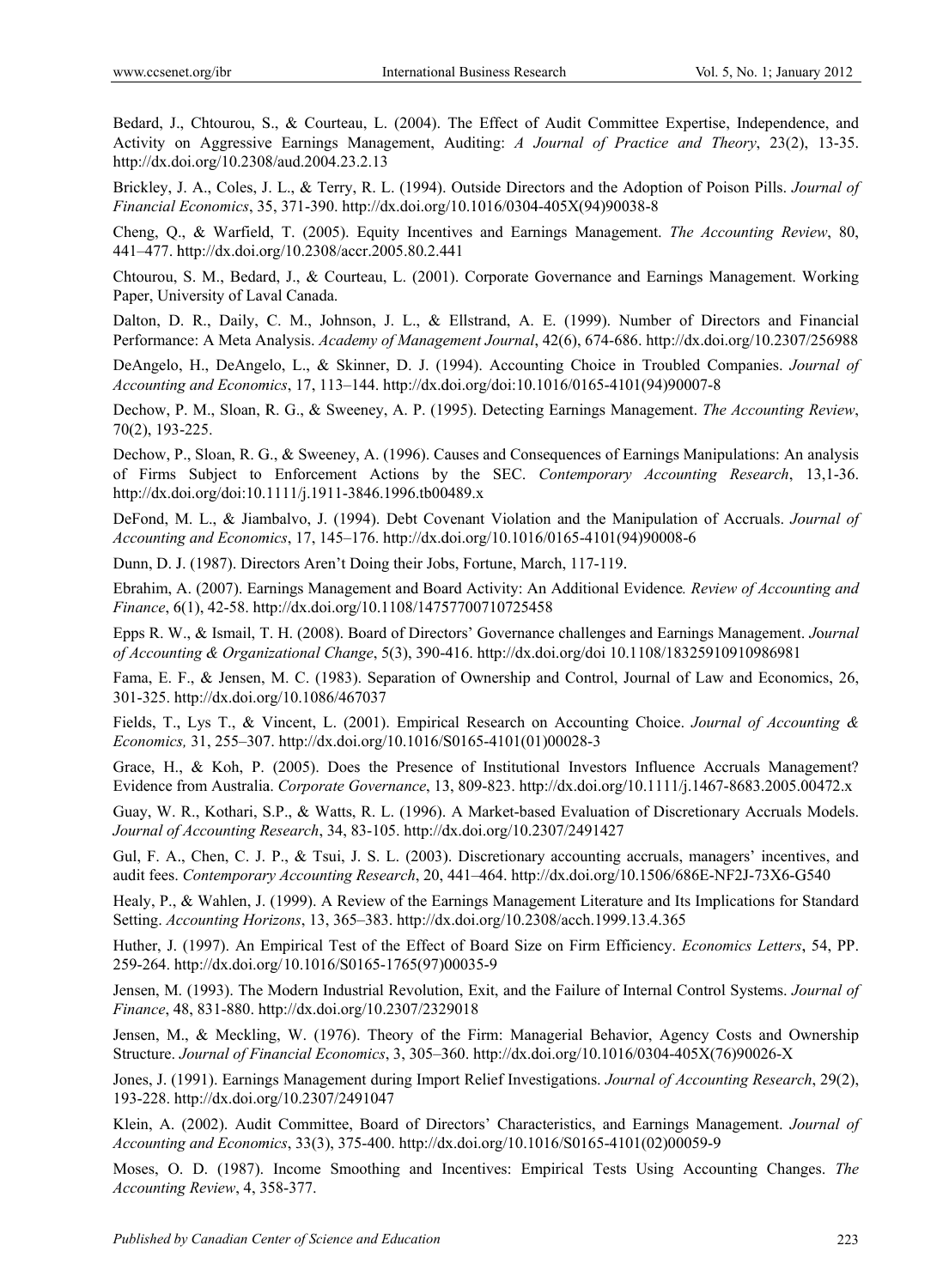Bedard, J., Chtourou, S., & Courteau, L. (2004). The Effect of Audit Committee Expertise, Independence, and Activity on Aggressive Earnings Management, Auditing: *A Journal of Practice and Theory*, 23(2), 13-35. http://dx.d doi.org/10.2308 8/aud.2004.23 .2.13

Brickley, J. A., Coles, J. L., & Terry, R. L. (1994). Outside Directors and the Adoption of Poison Pills. *Journal of* Financial Economics, 35, 371-390. http://dx.doi.org/10.1016/0304-405X(94)90038-8

Cheng, Q., & Warfield, T. (2005). Equity Incentives and Earnings Management. *The Accounting Review*, 80, 441–477. http://dx.doi.org/10.2308/accr.2005.80.2.441

Chtourou, S. M., Bedard, J., & Courteau, L. (2001). Corporate Governance and Earnings Management. Working Paper, University of Laval Canada.

Dalton, D. R., Daily, C. M., Johnson, J. L., & Ellstrand, A. E. (1999). Number of Directors and Financial Performance: A Meta Analysis. *Academy of Management Journal*, 42(6), 674-686. http://dx.doi.org/10.2307/256988

DeAngelo, H., DeAngelo, L., & Skinner, D. J. (1994). Accounting Choice in Troubled Companies. *Journal of* Accounting and Economics, 17, 113–144. http://dx.doi.org/doi:10.1016/0165-4101(94)90007-8

Dechow, P. M., Sloan, R. G., & Sweeney, A. P. (1995). Detecting Earnings Management. The Accounting Review, 70(2), 193 -225.

Dechow, P., Sloan, R. G., & Sweeney, A. (1996). Causes and Consequences of Earnings Manipulations: An analysis of Firms Subject to Enforcement Actions by the SEC. Contemporary Accounting Research, 13,1-36. http://dx.doi.org/doi:10.1111/j.1911-3846.1996.tb00489.x

DeFond, M. L., & Jiambalvo, J. (1994). Debt Covenant Violation and the Manipulation of Accruals. *Journal of* Accounting and Economics, 17, 145–176. http://dx.doi.org/10.1016/0165-4101(94)90008-6

Dunn, D. J. (1987). Directors Aren't Doing their Jobs, Fortune, March, 117-119.

Dunn, D. J. (1987). Directors Aren't Doing their Jobs, Fortune, March, 117-119.<br>Ebrahim, A. (2007). Earnings Management and Board Activity: An Additional Evidence. *Review of Accounting and* Finance, 6(1), 42-58. http://dx.doi.org/10.1108/14757700710725458

Epps R. W., & Ismail, T. H. (2008). Board of Directors' Governance challenges and Earnings Management. *Journal of Account ting & Organi izational Chan nge*, 5(3), 390-4 416. http://dx.d doi.org/doi 10 .1108/183259 10910986981

Fama, E. F., & Jensen, M. C. (1983). Separation of Ownership and Control, Journal of Law and Economics, 26, 301-325. http://dx.doi.org/10.1086/467037

Fields, T., Lys T., & Vincent, L. (2001). Empirical Research on Accounting Choice. *Journal of Accounting &* Economics, 31, 255-307. http://dx.doi.org/10.1016/S0165-4101(01)00028-3

Grace, H., & Koh, P. (2005). Does the Presence of Institutional Investors Influence Accruals Management? Evidence from Australia. *Corporate Governance*, 13, 809-823. http://dx.doi.org/10.1111/j.1467-8683.2005.00472.x

Guay, W. R., Kothari, S.P., & Watts, R. L. (1996). A Market-based Evaluation of Discretionary Accruals Models. Journal of Accounting Research, 34, 83-105. http://dx.doi.org/10.2307/2491427

Gul, F. A., Chen, C. J. P., & Tsui, J. S. L. (2003). Discretionary accounting accruals, managers' incentives, and audit fees. Contemporary Accounting Research, 20, 441-464. http://dx.doi.org/10.1506/686E-NF2J-73X6-G540

Healy, P., & Wahlen, J. (1999). A Review of the Earnings Management Literature and Its Implications for Standard Setting. *Accounting Horizons*, 13, 365–383. http://dx.doi.org/10.2308/acch.1999.13.4.365

Huther, J. (1997). An Empirical Test of the Effect of Board Size on Firm Efficiency. *Economics Letters*, 54, PP. 259-264. http://dx.doi.org/10.1016/S0165-1765(97)00035-9

Jensen, M. (1993). The Modern Industrial Revolution, Exit, and the Failure of Internal Control Systems. *Journal of* Finance, 48, 831-880. http://dx.doi.org/10.2307/2329018

Jensen, M., & Meckling, W. (1976). Theory of the Firm: Managerial Behavior, Agency Costs and Ownership Structure. *Journal of Fin nancial Econom mics*, 3, 305–3 360. http://dx.d doi.org/10.101 6/0304-405X( (76)90026-X

Jones, J. (1991). Earnings Management during Import Relief Investigations. *Journal of Accounting Research*, 29(2), 193-228. http://dx.doi.org/10.2307/2491047

Klein, A. (2002). Audit Committee, Board of Directors' Characteristics, and Earnings Management. *Journal of Accounting g and Econom mics*, 33(3), 375 5-400. http://dx x.doi.org/10.10 016/S0165-41 01(02)00059-9 Accounting and Economics, 33(3), 375-400. http://dx.doi.org/10.1016/S0165-4101(02)00059-9<br>Moses, O. D. (1987). Income Smoothing and Incentives: Empirical Tests Using Accounting Changes. The

*Accounting Review*, 4, 358-377.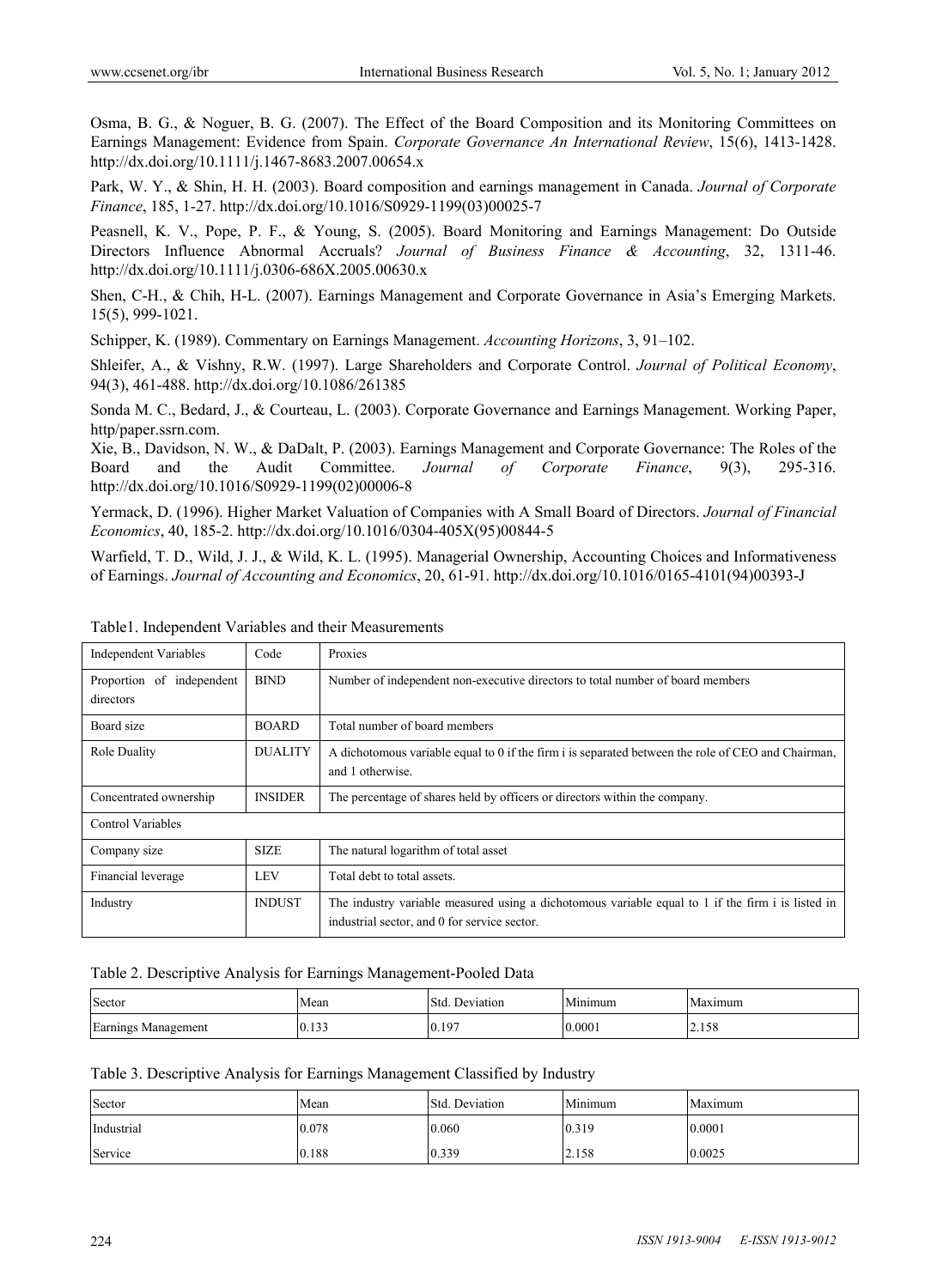Osma, B. G., & Noguer, B. G. (2007). The Effect of the Board Composition and its Monitoring Committees on Earnings Management: Evidence from Spain. *Corporate Governance An International Review*, 15(6), 1413-1428. http://dx.doi.org/10.1111/j.1467-8683.2007.00654.x

Park, W. Y., & Shin, H. H. (2003). Board composition and earnings management in Canada. *Journal of Corporate Finance*, 185, 1-27. http://dx.doi.org/10.1016/S0929-1199(03)00025-7

Peasnell, K. V., Pope, P. F., & Young, S. (2005). Board Monitoring and Earnings Management: Do Outside Directors Influence Abnormal Accruals? *Journal of Business Finance & Accounting*, 32, 1311-46. http://dx.doi.org/10.1111/j.0306-686X.2005.00630.x

Shen, C-H., & Chih, H-L. (2007). Earnings Management and Corporate Governance in Asia's Emerging Markets. 15(5), 999-1021.

Schipper, K. (1989). Commentary on Earnings Management. *Accounting Horizons*, 3, 91–102.

Shleifer, A., & Vishny, R.W. (1997). Large Shareholders and Corporate Control. *Journal of Political Economy*, 94(3), 461-488. http://dx.doi.org/10.1086/261385

Sonda M. C., Bedard, J., & Courteau, L. (2003). Corporate Governance and Earnings Management. Working Paper, http/paper.ssrn.com.

Xie, B., Davidson, N. W., & DaDalt, P. (2003). Earnings Management and Corporate Governance: The Roles of the Board and the Audit Committee. *Journal of Corporate Finance*, 9(3), 295-316. http://dx.doi.org/10.1016/S0929-1199(02)00006-8

Yermack, D. (1996). Higher Market Valuation of Companies with A Small Board of Directors. *Journal of Financial Economics*, 40, 185-2. http://dx.doi.org/10.1016/0304-405X(95)00844-5

Warfield, T. D., Wild, J. J., & Wild, K. L. (1995). Managerial Ownership, Accounting Choices and Informativeness of Earnings. *Journal of Accounting and Economics*, 20, 61-91. http://dx.doi.org/10.1016/0165-4101(94)00393-J

| <b>Independent Variables</b>           | Code           | Proxies                                                                                                                                           |
|----------------------------------------|----------------|---------------------------------------------------------------------------------------------------------------------------------------------------|
| Proportion of independent<br>directors | <b>BIND</b>    | Number of independent non-executive directors to total number of board members                                                                    |
| Board size                             | <b>BOARD</b>   | Total number of board members                                                                                                                     |
| Role Duality                           | <b>DUALITY</b> | A dichotomous variable equal to 0 if the firm i is separated between the role of CEO and Chairman,<br>and 1 otherwise.                            |
| Concentrated ownership                 | <b>INSIDER</b> | The percentage of shares held by officers or directors within the company.                                                                        |
| Control Variables                      |                |                                                                                                                                                   |
| Company size                           | <b>SIZE</b>    | The natural logarithm of total asset                                                                                                              |
| Financial leverage                     | <b>LEV</b>     | Total debt to total assets.                                                                                                                       |
| Industry                               | <b>INDUST</b>  | The industry variable measured using a dichotomous variable equal to 1 if the firm i is listed in<br>industrial sector, and 0 for service sector. |

Table1. Independent Variables and their Measurements

| Sector              | Mean                    | Std.<br><b>Deviation</b><br>DC. | Minimum | Maximum |
|---------------------|-------------------------|---------------------------------|---------|---------|
| Earnings Management | 122<br>$\cdots$<br>0.13 | 197<br>0.17                     | 0.0001  | 2.158   |

Table 3. Descriptive Analysis for Earnings Management Classified by Industry

| Sector     | Mean  | Std. Deviation | Minimum | Maximum |
|------------|-------|----------------|---------|---------|
| Industrial | 0.078 | 0.060          | 0.319   | 0.0001  |
| Service    | 0.188 | 0.339          | 2.158   | 0.0025  |